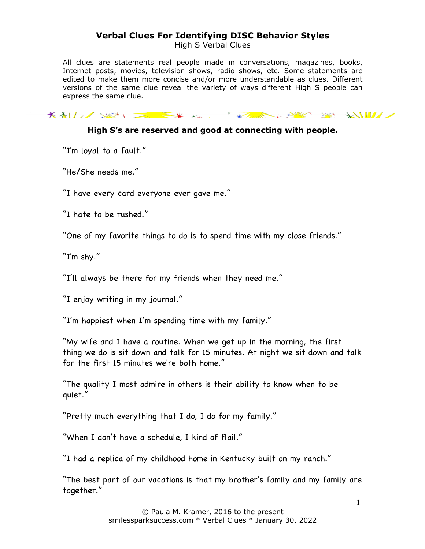High S Verbal Clues

All clues are statements real people made in conversations, magazines, books, Internet posts, movies, television shows, radio shows, etc. Some statements are edited to make them more concise and/or more understandable as clues. Different versions of the same clue reveal the variety of ways different High S people can express the same clue.

KALLING WAS STRIKE WARDEN TO A STRIKE WAS ARRESTED AND A STRIKE WAS ARRESTED FOR A STRIKE WAS ARRESTED FOR A STRIKE WAS ARRESTED FOR A STRIKE WAS ARRESTED FOR A STRIKE WAS ARRESTED FOR A STRIKE WAS ARRESTED FOR A STRIKE WA

#### **High S's are reserved and good at connecting with people.**

"I'm loyal to a fault."

"He/She needs me."

"I have every card everyone ever gave me."

"I hate to be rushed."

"One of my favorite things to do is to spend time with my close friends."

"I'm shy."

"I'll always be there for my friends when they need me."

"I enjoy writing in my journal."

"I'm happiest when I'm spending time with my family."

"My wife and I have a routine. When we get up in the morning, the first thing we do is sit down and talk for 15 minutes. At night we sit down and talk for the first 15 minutes we're both home."

"The quality I most admire in others is their ability to know when to be quiet."

"Pretty much everything that I do, I do for my family."

"When I don't have a schedule, I kind of flail."

"I had a replica of my childhood home in Kentucky built on my ranch."

"The best part of our vacations is that my brother's family and my family are together."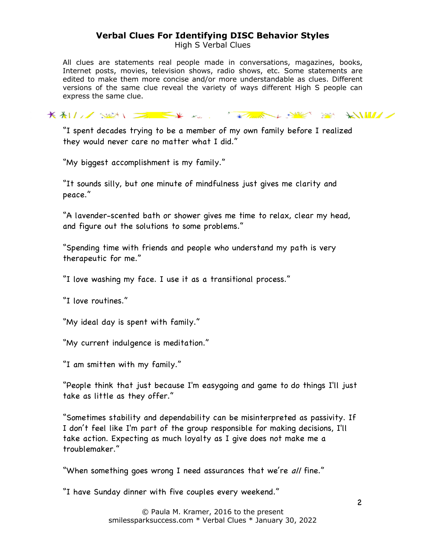High S Verbal Clues

All clues are statements real people made in conversations, magazines, books, Internet posts, movies, television shows, radio shows, etc. Some statements are edited to make them more concise and/or more understandable as clues. Different versions of the same clue reveal the variety of ways different High S people can express the same clue.

KALL SULLET KARL KARA KARA SULLET

"I spent decades trying to be a member of my own family before I realized they would never care no matter what I did."

"My biggest accomplishment is my family."

"It sounds silly, but one minute of mindfulness just gives me clarity and peace."

"A lavender-scented bath or shower gives me time to relax, clear my head, and figure out the solutions to some problems."

"Spending time with friends and people who understand my path is very therapeutic for me."

"I love washing my face. I use it as a transitional process."

"I love routines."

"My ideal day is spent with family."

"My current indulgence is meditation."

"I am smitten with my family."

"People think that just because I'm easygoing and game to do things I'll just take as little as they offer."

"Sometimes stability and dependability can be misinterpreted as passivity. If I don't feel like I'm part of the group responsible for making decisions, I'll take action. Expecting as much loyalty as I give does not make me a troublemaker."

"When something goes wrong I need assurances that we're all fine."

"I have Sunday dinner with five couples every weekend."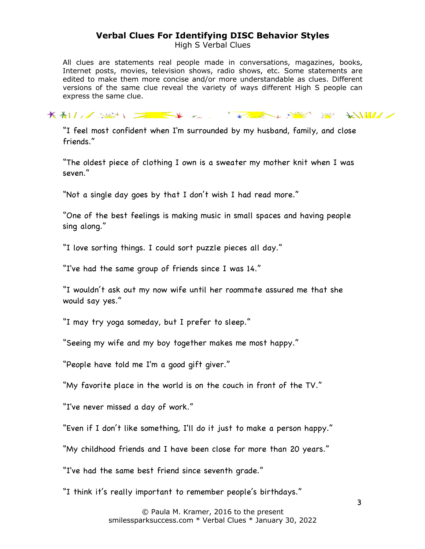High S Verbal Clues

All clues are statements real people made in conversations, magazines, books, Internet posts, movies, television shows, radio shows, etc. Some statements are edited to make them more concise and/or more understandable as clues. Different versions of the same clue reveal the variety of ways different High S people can express the same clue.

KALL SEN EXTREMELY SERVER SERVER

"I feel most confident when I'm surrounded by my husband, family, and close friends."

"The oldest piece of clothing I own is a sweater my mother knit when I was seven."

"Not a single day goes by that I don't wish I had read more."

"One of the best feelings is making music in small spaces and having people sing along."

"I love sorting things. I could sort puzzle pieces all day."

"I've had the same group of friends since I was 14."

"I wouldn't ask out my now wife until her roommate assured me that she would say yes."

"I may try yoga someday, but I prefer to sleep."

"Seeing my wife and my boy together makes me most happy."

"People have told me I'm a good gift giver."

"My favorite place in the world is on the couch in front of the TV."

"I've never missed a day of work."

"Even if I don't like something, I'll do it just to make a person happy."

"My childhood friends and I have been close for more than 20 years."

"I've had the same best friend since seventh grade."

"I think it's really important to remember people's birthdays."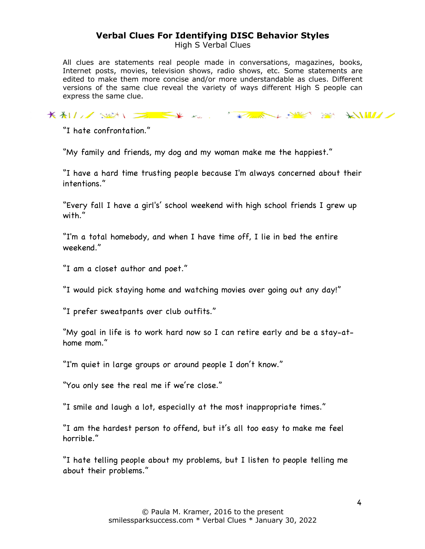High S Verbal Clues

All clues are statements real people made in conversations, magazines, books, Internet posts, movies, television shows, radio shows, etc. Some statements are edited to make them more concise and/or more understandable as clues. Different versions of the same clue reveal the variety of ways different High S people can express the same clue.

KALL SUN DE KK KK KALL KAREL SUNK SUNK KILLE

"I hate confrontation."

"My family and friends, my dog and my woman make me the happiest."

"I have a hard time trusting people because I'm always concerned about their intentions."

"Every fall I have a girl's' school weekend with high school friends I grew up with."

"I'm a total homebody, and when I have time off, I lie in bed the entire weekend."

"I am a closet author and poet."

"I would pick staying home and watching movies over going out any day!"

"I prefer sweatpants over club outfits."

"My goal in life is to work hard now so I can retire early and be a stay-athome mom."

"I'm quiet in large groups or around people I don't know."

"You only see the real me if we're close."

"I smile and laugh a lot, especially at the most inappropriate times."

"I am the hardest person to offend, but it's all too easy to make me feel horrible."

"I hate telling people about my problems, but I listen to people telling me about their problems."